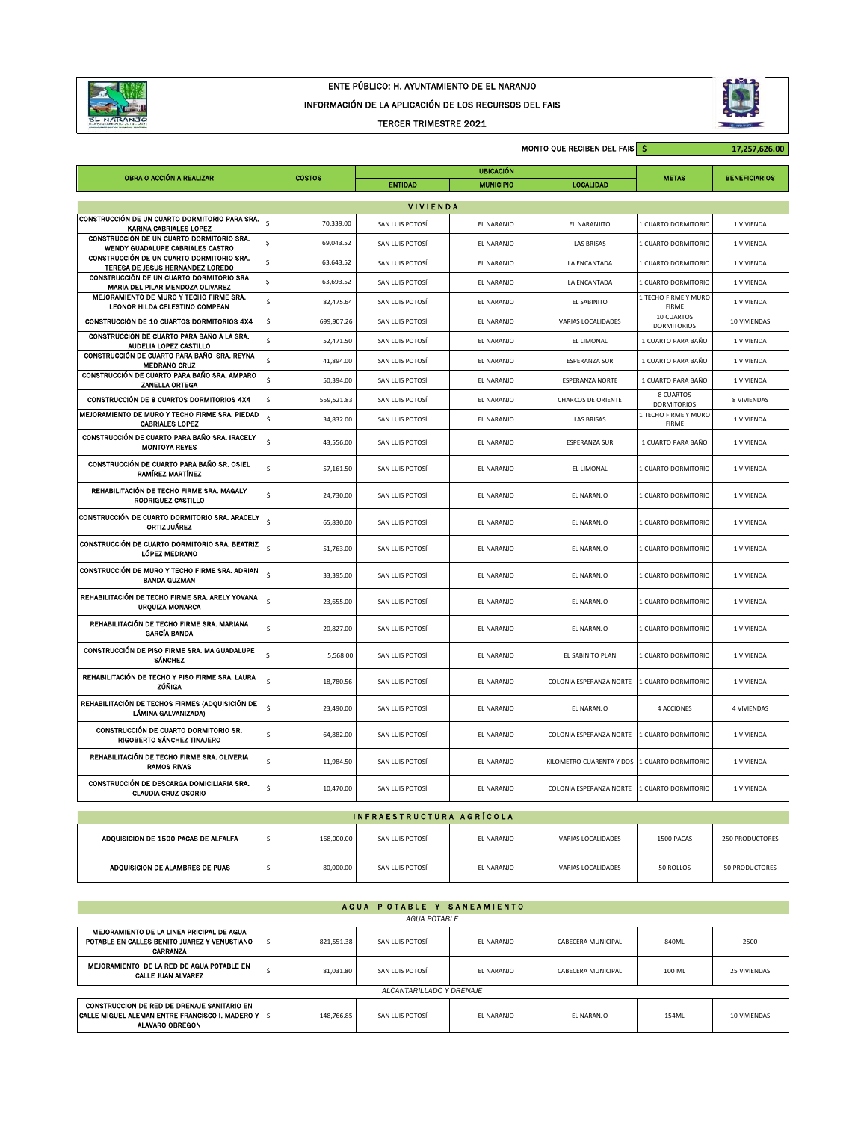

## ENTE PÚBLICO: H. AYUNTAMIENTO DE EL NARANJO

INFORMACIÓN DE LA APLICACIÓN DE LOS RECURSOS DEL FAIS

TERCER TRIMESTRE 2021



|                                                                               | <b>MONTO QUE RECIBEN DEL FAIS S</b> |                  |                  |                                              |                                      | 17,257,626.00        |  |  |
|-------------------------------------------------------------------------------|-------------------------------------|------------------|------------------|----------------------------------------------|--------------------------------------|----------------------|--|--|
| OBRA O ACCIÓN A REALIZAR                                                      |                                     | <b>UBICACIÓN</b> |                  |                                              |                                      |                      |  |  |
|                                                                               | <b>COSTOS</b>                       | <b>ENTIDAD</b>   | <b>MUNICIPIO</b> | <b>LOCALIDAD</b>                             | <b>METAS</b>                         | <b>BENEFICIARIOS</b> |  |  |
| <b>VIVIENDA</b>                                                               |                                     |                  |                  |                                              |                                      |                      |  |  |
| CONSTRUCCIÓN DE UN CUARTO DORMITORIO PARA SRA.<br>KARINA CABRIALES LOPEZ      | Ś<br>70,339.00                      | SAN LUIS POTOSÍ  | EL NARANJO       | EL NARANJITO                                 | 1 CUARTO DORMITORIO                  | 1 VIVIENDA           |  |  |
| CONSTRUCCIÓN DE UN CUARTO DORMITORIO SRA.<br>WENDY GUADALUPE CABRIALES CASTRO | \$<br>69,043.52                     | SAN LUIS POTOSÍ  | EL NARANJO       | <b>LAS BRISAS</b>                            | 1 CUARTO DORMITORIO                  | 1 VIVIENDA           |  |  |
| CONSTRUCCIÓN DE UN CUARTO DORMITORIO SRA.<br>TERESA DE JESUS HERNANDEZ LOREDO | \$<br>63,643.52                     | SAN LUIS POTOSÍ  | EL NARANJO       | LA ENCANTADA                                 | 1 CUARTO DORMITORIO                  | 1 VIVIENDA           |  |  |
| CONSTRUCCIÓN DE UN CUARTO DORMITORIO SRA<br>MARIA DEL PILAR MENDOZA OLIVAREZ  | \$<br>63,693.52                     | SAN LUIS POTOSÍ  | EL NARANJO       | LA ENCANTADA                                 | 1 CUARTO DORMITORIO                  | 1 VIVIENDA           |  |  |
| MEJORAMIENTO DE MURO Y TECHO FIRME SRA.<br>LEONOR HILDA CELESTINO COMPEAN     | \$<br>82,475.64                     | SAN LUIS POTOSÍ  | EL NARANJO       | <b>EL SABINITO</b>                           | 1 TECHO FIRME Y MURO<br><b>FIRME</b> | 1 VIVIENDA           |  |  |
| CONSTRUCCIÓN DE 10 CUARTOS DORMITORIOS 4X4                                    | \$<br>699,907.26                    | SAN LUIS POTOSÍ  | EL NARANJO       | VARIAS LOCALIDADES                           | 10 CUARTOS<br><b>DORMITORIOS</b>     | 10 VIVIENDAS         |  |  |
| CONSTRUCCIÓN DE CUARTO PARA BAÑO A LA SRA.<br>AUDELIA LOPEZ CASTILLO          | \$<br>52,471.50                     | SAN LUIS POTOSÍ  | EL NARANJO       | EL LIMONAL                                   | 1 CUARTO PARA BAÑO                   | 1 VIVIENDA           |  |  |
| CONSTRUCCIÓN DE CUARTO PARA BAÑO SRA. REYNA<br><b>MEDRANO CRUZ</b>            | $\hat{\mathsf{s}}$<br>41,894.00     | SAN LUIS POTOSÍ  | EL NARANJO       | <b>ESPERANZA SUR</b>                         | 1 CUARTO PARA BAÑO                   | 1 VIVIENDA           |  |  |
| CONSTRUCCIÓN DE CUARTO PARA BAÑO SRA. AMPARO<br><b>ZANELLA ORTEGA</b>         | $\sf S$<br>50,394.00                | SAN LUIS POTOSÍ  | EL NARANJO       | <b>ESPERANZA NORTE</b>                       | 1 CUARTO PARA BAÑO                   | 1 VIVIENDA           |  |  |
| CONSTRUCCIÓN DE 8 CUARTOS DORMITORIOS 4X4                                     | \$<br>559,521.83                    | SAN LUIS POTOSÍ  | EL NARANJO       | <b>CHARCOS DE ORIENTE</b>                    | 8 CUARTOS<br><b>DORMITORIOS</b>      | 8 VIVIENDAS          |  |  |
| MEJORAMIENTO DE MURO Y TECHO FIRME SRA, PIEDAD<br><b>CABRIALES LOPEZ</b>      | Ś<br>34,832.00                      | SAN LUIS POTOSÍ  | EL NARANJO       | <b>LAS BRISAS</b>                            | 1 TECHO FIRME Y MURO<br>FIRME        | 1 VIVIENDA           |  |  |
| CONSTRUCCIÓN DE CUARTO PARA BAÑO SRA. IRACELY<br><b>MONTOYA REYES</b>         | $\sf S$<br>43,556.00                | SAN LUIS POTOSÍ  | EL NARANJO       | <b>ESPERANZA SUR</b>                         | 1 CUARTO PARA BAÑO                   | 1 VIVIENDA           |  |  |
| CONSTRUCCIÓN DE CUARTO PARA BAÑO SR. OSIEL<br><b>RAMÍREZ MARTÍNEZ</b>         | $\sf S$<br>57,161.50                | SAN LUIS POTOSÍ  | FI NARANIO       | EL LIMONAL                                   | 1 CUARTO DORMITORIO                  | 1 VIVIENDA           |  |  |
| REHABILITACIÓN DE TECHO FIRME SRA. MAGALY<br>RODRIGUEZ CASTILLO               | \$<br>24,730.00                     | SAN LUIS POTOSÍ  | EL NARANJO       | EL NARANJO                                   | 1 CUARTO DORMITORIO                  | 1 VIVIENDA           |  |  |
| CONSTRUCCIÓN DE CUARTO DORMITORIO SRA, ARACELY<br>ORTIZ JUÁREZ                | $\hat{\mathsf{s}}$<br>65,830.00     | SAN LUIS POTOSÍ  | FI NARANIO       | FI NARANIO                                   | 1 CUARTO DORMITORIO                  | 1 VIVIENDA           |  |  |
| CONSTRUCCIÓN DE CUARTO DORMITORIO SRA. BEATRIZ<br>LÓPEZ MEDRANO               | $\sf s$<br>51,763.00                | SAN LUIS POTOSÍ  | EL NARANJO       | EL NARANJO                                   | 1 CUARTO DORMITORIO                  | 1 VIVIENDA           |  |  |
| CONSTRUCCIÓN DE MURO Y TECHO FIRME SRA. ADRIAN<br><b>BANDA GUZMAN</b>         | $\sf S$<br>33,395.00                | SAN LUIS POTOSÍ  | EL NARANJO       | EL NARANJO                                   | 1 CUARTO DORMITORIO                  | 1 VIVIENDA           |  |  |
| REHABILITACIÓN DE TECHO FIRME SRA. ARELY YOVANA<br><b>URQUIZA MONARCA</b>     | $\sf S$<br>23,655.00                | SAN LUIS POTOSÍ  | EL NARANJO       | EL NARANJO                                   | 1 CUARTO DORMITORIO                  | 1 VIVIENDA           |  |  |
| REHABILITACIÓN DE TECHO FIRME SRA. MARIANA<br><b>GARCÍA BANDA</b>             | \$<br>20,827.00                     | SAN LUIS POTOSÍ  | EL NARANJO       | EL NARANJO                                   | 1 CUARTO DORMITORIO                  | 1 VIVIENDA           |  |  |
| CONSTRUCCIÓN DE PISO FIRME SRA, MA GUADALUPE<br><b>SÁNCHEZ</b>                | \$<br>5,568.00                      | SAN LUIS POTOSÍ  | FI NARANIO       | EL SABINITO PLAN                             | 1 CUARTO DORMITORIO                  | 1 VIVIENDA           |  |  |
| REHABILITACIÓN DE TECHO Y PISO FIRME SRA. LAURA<br>ZÚÑIGA                     | \$<br>18,780.56                     | SAN LUIS POTOSÍ  | EL NARANJO       | COLONIA ESPERANZA NORTE                      | 1 CUARTO DORMITORIO                  | 1 VIVIENDA           |  |  |
| REHABILITACIÓN DE TECHOS FIRMES (ADQUISICIÓN DE<br>LÁMINA GALVANIZADA)        | $\sf S$<br>23,490.00                | SAN LUIS POTOSÍ  | EL NARANJO       | EL NARANJO                                   | 4 ACCIONES                           | 4 VIVIENDAS          |  |  |
| CONSTRUCCIÓN DE CUARTO DORMITORIO SR.<br>RIGOBERTO SÁNCHEZ TINAJERO           | \$<br>64,882.00                     | SAN LUIS POTOSÍ  | EL NARANJO       | COLONIA ESPERANZA NORTE                      | 1 CUARTO DORMITORIO                  | 1 VIVIENDA           |  |  |
| REHABILITACIÓN DE TECHO FIRME SRA. OLIVERIA<br><b>RAMOS RIVAS</b>             | \$<br>11,984.50                     | SAN LUIS POTOSÍ  | EL NARANJO       | KILOMETRO CUARENTA Y DOS 1 CUARTO DORMITORIO |                                      | 1 VIVIENDA           |  |  |
| CONSTRUCCIÓN DE DESCARGA DOMICILIARIA SRA.<br><b>CLAUDIA CRUZ OSORIO</b>      | \$<br>10,470.00                     | SAN LUIS POTOSÍ  | EL NARANJO       | COLONIA ESPERANZA NORTE 1 CUARTO DORMITORIO  |                                      | 1 VIVIENDA           |  |  |
| INFRAESTRUCTURA AGRÍCOLA                                                      |                                     |                  |                  |                                              |                                      |                      |  |  |
|                                                                               |                                     |                  |                  |                                              |                                      |                      |  |  |
| ADOUISICION DE 1500 PACAS DE ALFALFA                                          | $\sf s$<br>168,000.00               | SAN LUIS POTOSÍ  | FI NARANIO       | VARIAS LOCALIDADES                           | 1500 PACAS                           | 250 PRODUCTORES      |  |  |

| AGUA POTABLE Y SANEAMIENTO                                                                                                 |                                  |           |                     |            |                    |        |                     |
|----------------------------------------------------------------------------------------------------------------------------|----------------------------------|-----------|---------------------|------------|--------------------|--------|---------------------|
|                                                                                                                            |                                  |           | <b>AGUA POTABLE</b> |            |                    |        |                     |
| MEJORAMIENTO DE LA LINEA PRICIPAL DE AGUA<br>POTABLE EN CALLES BENITO JUAREZ Y VENUSTIANO<br>CARRANZA                      | 821.551.38                       |           | SAN LUIS POTOSÍ     | EL NARANJO | CABECERA MUNICIPAL | 840ML  | 2500                |
| MEJORAMIENTO DE LA RED DE AGUA POTABLE EN<br><b>CALLE JUAN ALVAREZ</b>                                                     |                                  | 81.031.80 | SAN LUIS POTOSÍ     | EL NARANJO | CABECERA MUNICIPAL | 100 ML | <b>25 VIVIENDAS</b> |
| ALCANTARILLADO Y DRENAJE                                                                                                   |                                  |           |                     |            |                    |        |                     |
| CONSTRUCCION DE RED DE DRENAJE SANITARIO EN<br>CALLE MIGUEL ALEMAN ENTRE FRANCISCO I. MADERO Y  <br><b>ALAVARO OBREGON</b> | $\dot{\mathbf{S}}$<br>148.766.85 |           | SAN LUIS POTOSÍ     | EL NARANJO | FI NARANIO         | 154MI  | 10 VIVIENDAS        |

ADQUISICION DE ALAMBRES DE PUAS \$ 80,000.00 SAN LUIS POTOSÍ EL NARANJO VARIAS LOCALIDADES 50 ROLLOS 50 PRODUCTORES